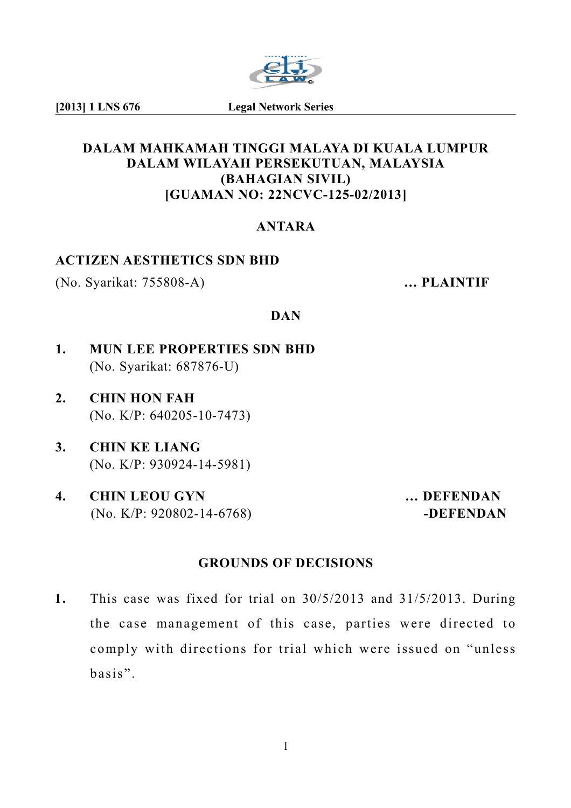

**[2013] 1 LNS 676 Legal Network Series**

#### **DALAM MAHKAMAH TINGGI MALAYA DI KUALA LUMPUR DALAM WILAYAH PERSEKUTUAN, MALAYSIA (BAHAGIAN SIVIL) [GUAMAN NO: 22NCVC-125-02/2013]**

## **ANTARA**

#### **ACTIZEN AESTHETICS SDN BHD**

(No. Syarikat: 755808-A) **… PLAINTIF**

#### **DAN**

- **1. MUN LEE PROPERTIES SDN BHD** (No. Syarikat: 687876-U)
- **2. CHIN HON FAH** (No. K/P: 640205-10-7473)
- **3. CHIN KE LIANG** (No. K/P: 930924-14-5981)
- **4. CHIN LEOU GYN … DEFENDAN** (No. K/P: 920802-14-6768) **-DEFENDAN**

## **GROUNDS OF DECISIONS**

**1.** This case was fixed for trial on 30/5/2013 and 31/5/2013. During the case management of this case, parties were directed to comply with directions for trial which were issued on "unless basis".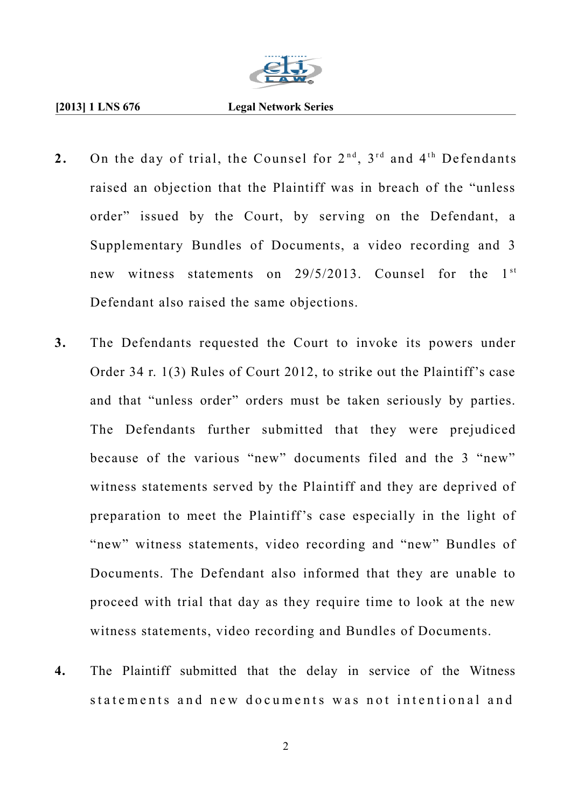

#### **[2013] 1 LNS 676 Legal Network Series**

- 2. On the day of trial, the Counsel for  $2^{nd}$ ,  $3^{rd}$  and  $4^{th}$  Defendants raised an objection that the Plaintiff was in breach of the "unless order" issued by the Court, by serving on the Defendant, a Supplementary Bundles of Documents, a video recording and 3 new witness statements on  $29/5/2013$ . Counsel for the  $1<sup>st</sup>$ Defendant also raised the same objections.
- **3.** The Defendants requested the Court to invoke its powers under Order 34 r. 1(3) Rules of Court 2012, to strike out the Plaintiff's case and that "unless order" orders must be taken seriously by parties. The Defendants further submitted that they were prejudiced because of the various "new" documents filed and the 3 "new" witness statements served by the Plaintiff and they are deprived of preparation to meet the Plaintiff's case especially in the light of "new" witness statements, video recording and "new" Bundles of Documents. The Defendant also informed that they are unable to proceed with trial that day as they require time to look at the new witness statements, video recording and Bundles of Documents.
- **4.** The Plaintiff submitted that the delay in service of the Witness statements and new documents was not intentional and

2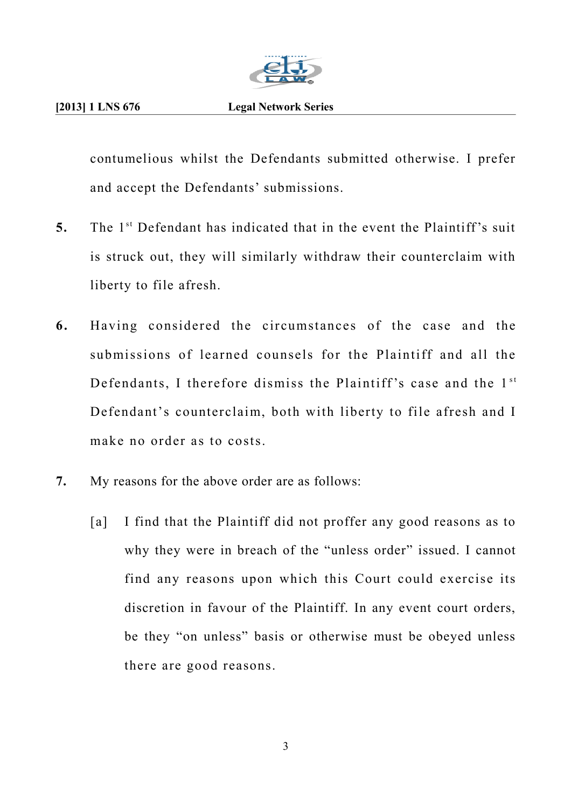

contumelious whilst the Defendants submitted otherwise. I prefer and accept the Defendants' submissions.

- **5.** The 1<sup>st</sup> Defendant has indicated that in the event the Plaintiff's suit is struck out, they will similarly withdraw their counterclaim with liberty to file afresh.
- **6.** Having considered the circumstances of the case and the submissions of learned counsels for the Plaintiff and all the Defendants, I therefore dismiss the Plaintiff's case and the  $1<sup>st</sup>$ Defendant's counterclaim, both with liberty to file afresh and I make no order as to costs.
- **7.** My reasons for the above order are as follows:
	- [a] I find that the Plaintiff did not proffer any good reasons as to why they were in breach of the "unless order" issued. I cannot find any reasons upon which this Court could exercise its discretion in favour of the Plaintiff. In any event court orders, be they "on unless" basis or otherwise must be obeyed unless there are good reasons.